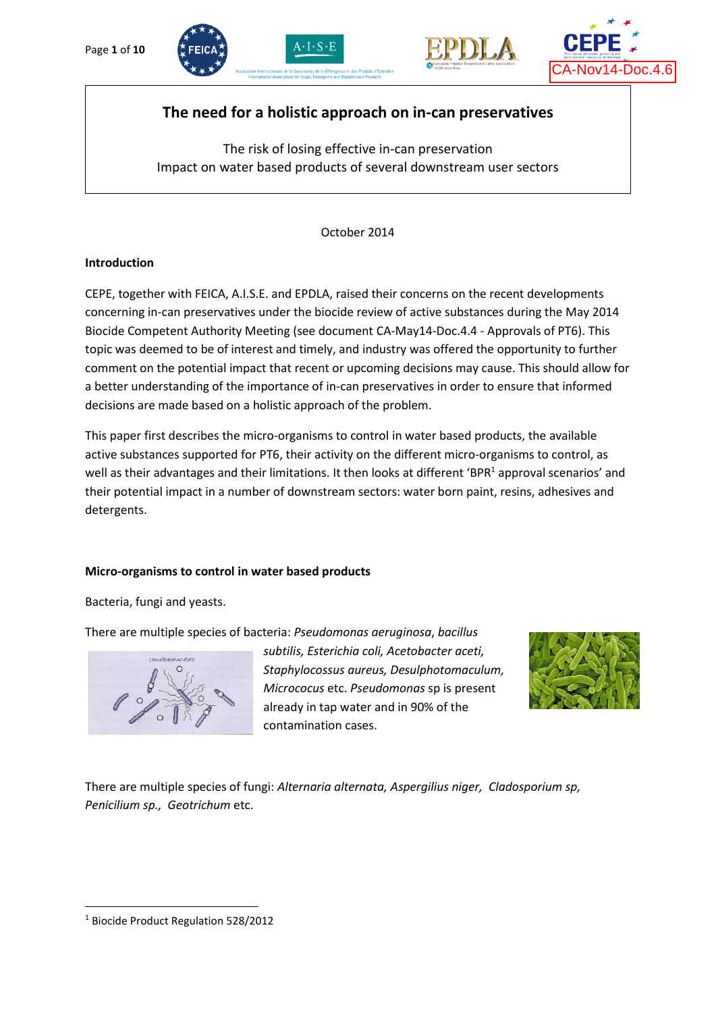





# **The need for a holistic approach on in-can preservatives**

The risk of losing effective in-can preservation Impact on water based products of several downstream user sectors

October 2014

#### **Introduction**

CEPE, together with FEICA, A.I.S.E. and EPDLA, raised their concerns on the recent developments concerning in-can preservatives under the biocide review of active substances during the May 2014 Biocide Competent Authority Meeting (see document CA-May14-Doc.4.4 - Approvals of PT6). This topic was deemed to be of interest and timely, and industry was offered the opportunity to further comment on the potential impact that recent or upcoming decisions may cause. This should allow for a better understanding of the importance of in-can preservatives in order to ensure that informed decisions are made based on a holistic approach of the problem.

This paper first describes the micro-organisms to control in water based products, the available active substances supported for PT6, their activity on the different micro-organisms to control, as well as their advantages and their limitations. It then looks at different 'BPR<sup>1</sup> approval scenarios' and their potential impact in a number of downstream sectors: water born paint, resins, adhesives and detergents.

#### **Micro-organisms to control in water based products**

Bacteria, fungi and yeasts.

There are multiple species of bacteria: *Pseudomonas aeruginosa*, *bacillus* 



*subtilis, Esterichia coli, Acetobacter aceti, Staphylocossus aureus, Desulphotomaculum, Micrococus* etc. *Pseudomonas* sp is present already in tap water and in 90% of the contamination cases.



There are multiple species of fungi: *Alternaria alternata, Aspergilius niger, Cladosporium sp, Penicilium sp., Geotrichum* etc.

**.** 

<sup>1</sup> Biocide Product Regulation 528/2012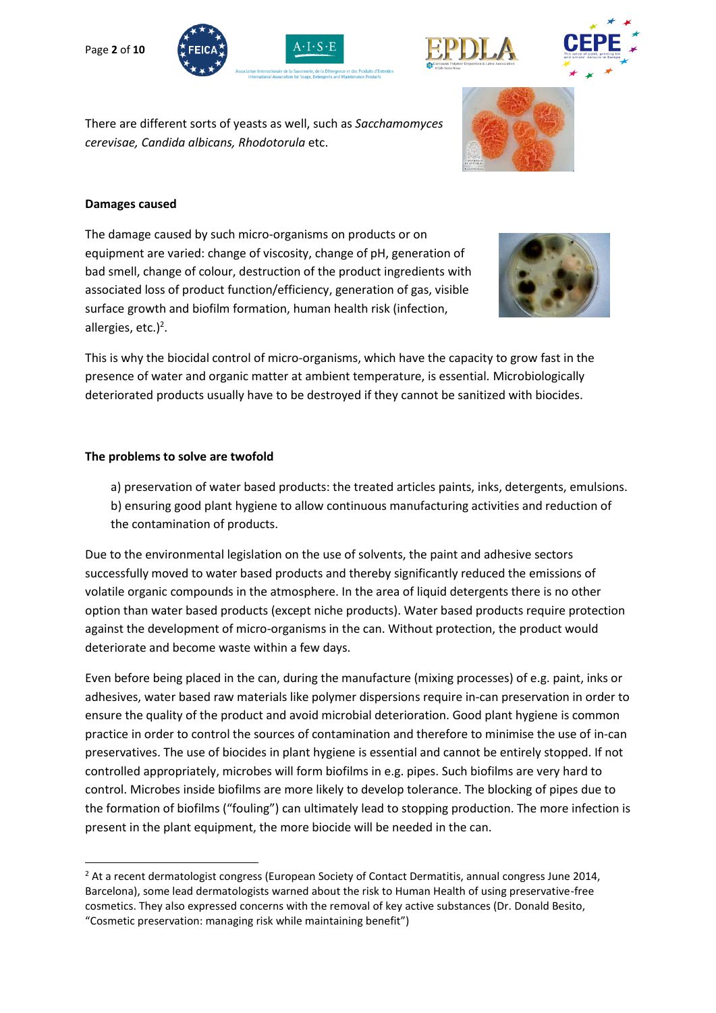







There are different sorts of yeasts as well, such as *Sacchamomyces cerevisae, Candida albicans, Rhodotorula* etc.



#### **Damages caused**

The damage caused by such micro-organisms on products or on equipment are varied: change of viscosity, change of pH, generation of bad smell, change of colour, destruction of the product ingredients with associated loss of product function/efficiency, generation of gas, visible surface growth and biofilm formation, human health risk (infection, allergies, etc.)<sup>2</sup>.



This is why the biocidal control of micro-organisms, which have the capacity to grow fast in the presence of water and organic matter at ambient temperature, is essential. Microbiologically deteriorated products usually have to be destroyed if they cannot be sanitized with biocides.

#### **The problems to solve are twofold**

a) preservation of water based products: the treated articles paints, inks, detergents, emulsions. b) ensuring good plant hygiene to allow continuous manufacturing activities and reduction of the contamination of products.

Due to the environmental legislation on the use of solvents, the paint and adhesive sectors successfully moved to water based products and thereby significantly reduced the emissions of volatile organic compounds in the atmosphere. In the area of liquid detergents there is no other option than water based products (except niche products). Water based products require protection against the development of micro-organisms in the can. Without protection, the product would deteriorate and become waste within a few days.

Even before being placed in the can, during the manufacture (mixing processes) of e.g. paint, inks or adhesives, water based raw materials like polymer dispersions require in-can preservation in order to ensure the quality of the product and avoid microbial deterioration. Good plant hygiene is common practice in order to control the sources of contamination and therefore to minimise the use of in-can preservatives. The use of biocides in plant hygiene is essential and cannot be entirely stopped. If not controlled appropriately, microbes will form biofilms in e.g. pipes. Such biofilms are very hard to control. Microbes inside biofilms are more likely to develop tolerance. The blocking of pipes due to the formation of biofilms ("fouling") can ultimately lead to stopping production. The more infection is present in the plant equipment, the more biocide will be needed in the can.

<sup>1</sup> <sup>2</sup> At a recent dermatologist congress (European Society of Contact Dermatitis, annual congress June 2014, Barcelona), some lead dermatologists warned about the risk to Human Health of using preservative-free cosmetics. They also expressed concerns with the removal of key active substances (Dr. Donald Besito, "Cosmetic preservation: managing risk while maintaining benefit")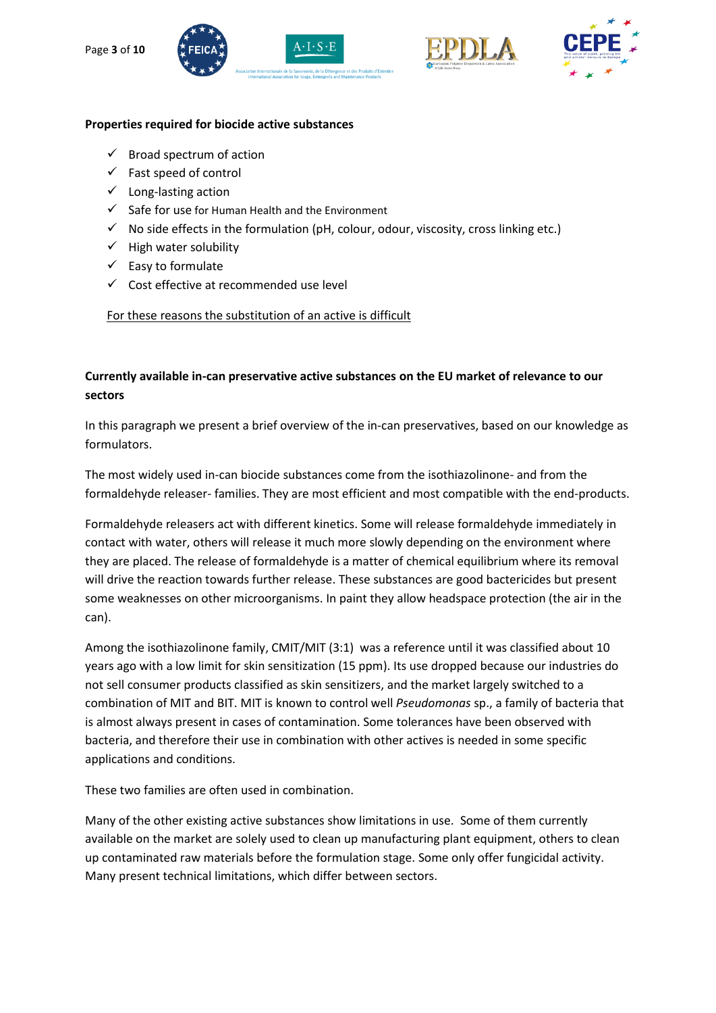







#### **Properties required for biocide active substances**

- $\checkmark$  Broad spectrum of action
- $\checkmark$  Fast speed of control
- $\checkmark$  Long-lasting action
- $\checkmark$  Safe for use for Human Health and the Environment
- $\checkmark$  No side effects in the formulation (pH, colour, odour, viscosity, cross linking etc.)
- $\checkmark$  High water solubility
- $\checkmark$  Easy to formulate
- $\checkmark$  Cost effective at recommended use level

For these reasons the substitution of an active is difficult

## **Currently available in-can preservative active substances on the EU market of relevance to our sectors**

In this paragraph we present a brief overview of the in-can preservatives, based on our knowledge as formulators.

The most widely used in-can biocide substances come from the isothiazolinone- and from the formaldehyde releaser- families. They are most efficient and most compatible with the end-products.

Formaldehyde releasers act with different kinetics. Some will release formaldehyde immediately in contact with water, others will release it much more slowly depending on the environment where they are placed. The release of formaldehyde is a matter of chemical equilibrium where its removal will drive the reaction towards further release. These substances are good bactericides but present some weaknesses on other microorganisms. In paint they allow headspace protection (the air in the can).

Among the isothiazolinone family, CMIT/MIT (3:1) was a reference until it was classified about 10 years ago with a low limit for skin sensitization (15 ppm). Its use dropped because our industries do not sell consumer products classified as skin sensitizers, and the market largely switched to a combination of MIT and BIT. MIT is known to control well *Pseudomonas* sp., a family of bacteria that is almost always present in cases of contamination. Some tolerances have been observed with bacteria, and therefore their use in combination with other actives is needed in some specific applications and conditions.

These two families are often used in combination.

Many of the other existing active substances show limitations in use. Some of them currently available on the market are solely used to clean up manufacturing plant equipment, others to clean up contaminated raw materials before the formulation stage. Some only offer fungicidal activity. Many present technical limitations, which differ between sectors.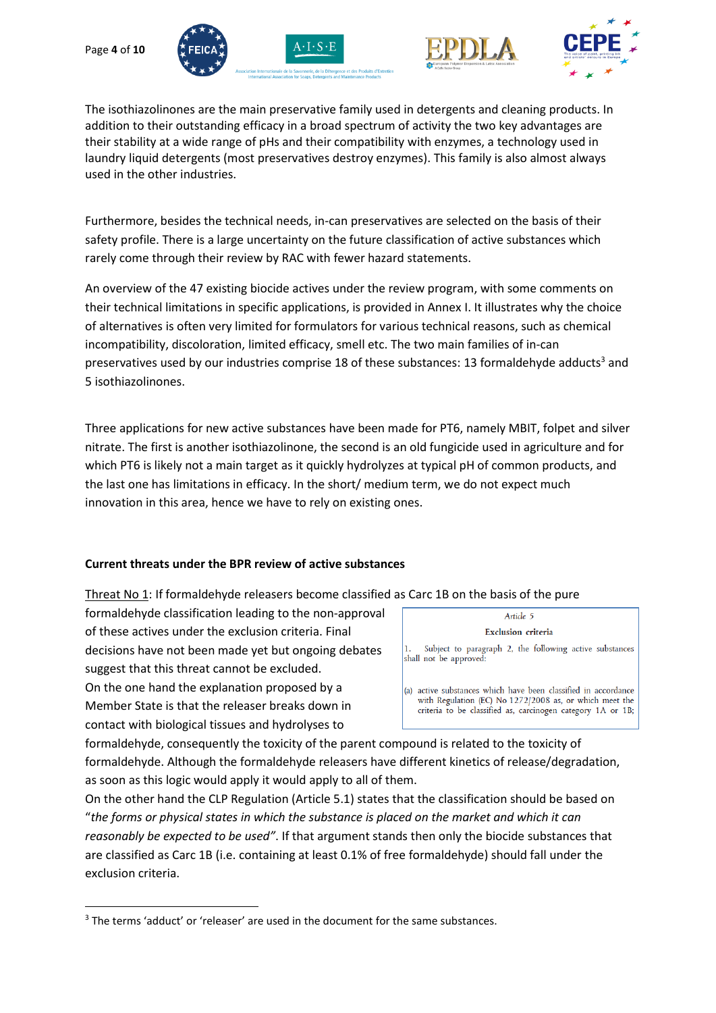







The isothiazolinones are the main preservative family used in detergents and cleaning products. In addition to their outstanding efficacy in a broad spectrum of activity the two key advantages are their stability at a wide range of pHs and their compatibility with enzymes, a technology used in laundry liquid detergents (most preservatives destroy enzymes). This family is also almost always used in the other industries.

Furthermore, besides the technical needs, in-can preservatives are selected on the basis of their safety profile. There is a large uncertainty on the future classification of active substances which rarely come through their review by RAC with fewer hazard statements.

An overview of the 47 existing biocide actives under the review program, with some comments on their technical limitations in specific applications, is provided in Annex I. It illustrates why the choice of alternatives is often very limited for formulators for various technical reasons, such as chemical incompatibility, discoloration, limited efficacy, smell etc. The two main families of in-can preservatives used by our industries comprise 18 of these substances: 13 formaldehyde adducts<sup>3</sup> and 5 isothiazolinones.

Three applications for new active substances have been made for PT6, namely MBIT, folpet and silver nitrate. The first is another isothiazolinone, the second is an old fungicide used in agriculture and for which PT6 is likely not a main target as it quickly hydrolyzes at typical pH of common products, and the last one has limitations in efficacy. In the short/ medium term, we do not expect much innovation in this area, hence we have to rely on existing ones.

## **Current threats under the BPR review of active substances**

Threat No 1: If formaldehyde releasers become classified as Carc 1B on the basis of the pure

formaldehyde classification leading to the non-approval of these actives under the exclusion criteria. Final decisions have not been made yet but ongoing debates suggest that this threat cannot be excluded.

On the one hand the explanation proposed by a Member State is that the releaser breaks down in contact with biological tissues and hydrolyses to

**.** 

| Article 5                                                                                                                                                                               |  |  |  |  |
|-----------------------------------------------------------------------------------------------------------------------------------------------------------------------------------------|--|--|--|--|
| <b>Exclusion</b> criteria                                                                                                                                                               |  |  |  |  |
| Subject to paragraph 2, the following active substances<br>k.<br>hall not be approved:                                                                                                  |  |  |  |  |
| a) active substances which have been classified in accordance<br>with Regulation (EC) No 1272/2008 as, or which meet the<br>criteria to be classified as, carcinogen category 1A or 1B; |  |  |  |  |

formaldehyde, consequently the toxicity of the parent compound is related to the toxicity of formaldehyde. Although the formaldehyde releasers have different kinetics of release/degradation, as soon as this logic would apply it would apply to all of them.

On the other hand the CLP Regulation (Article 5.1) states that the classification should be based on "*the forms or physical states in which the substance is placed on the market and which it can reasonably be expected to be used"*. If that argument stands then only the biocide substances that are classified as Carc 1B (i.e. containing at least 0.1% of free formaldehyde) should fall under the exclusion criteria.

<sup>&</sup>lt;sup>3</sup> The terms 'adduct' or 'releaser' are used in the document for the same substances.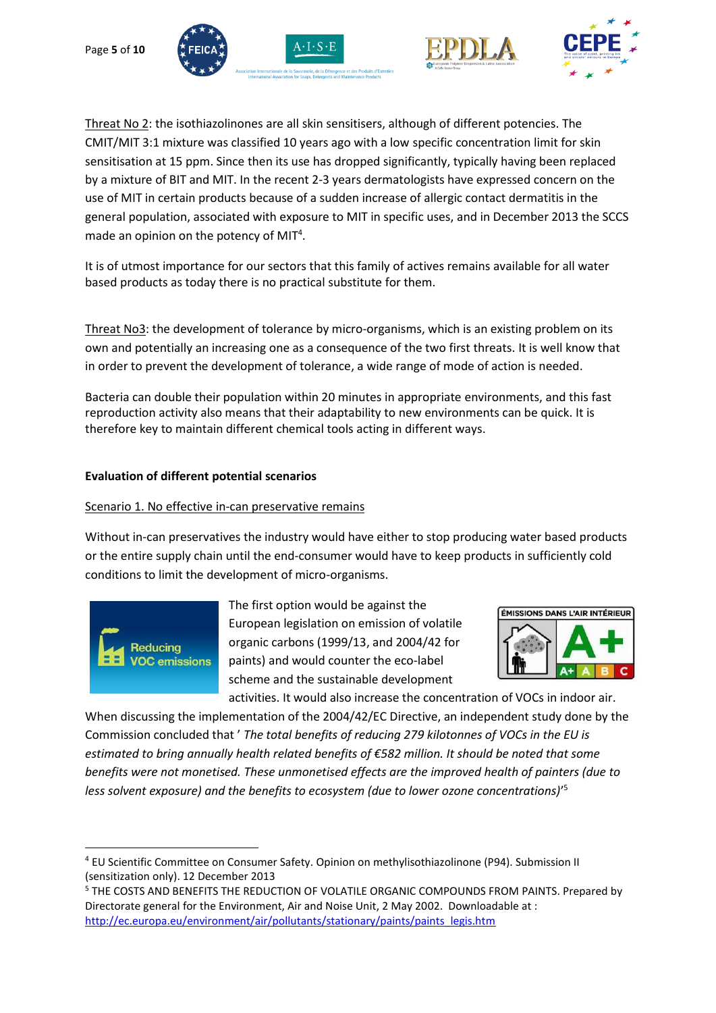







Threat No 2: the isothiazolinones are all skin sensitisers, although of different potencies. The CMIT/MIT 3:1 mixture was classified 10 years ago with a low specific concentration limit for skin sensitisation at 15 ppm. Since then its use has dropped significantly, typically having been replaced by a mixture of BIT and MIT. In the recent 2-3 years dermatologists have expressed concern on the use of MIT in certain products because of a sudden increase of allergic contact dermatitis in the general population, associated with exposure to MIT in specific uses, and in December 2013 the SCCS made an opinion on the potency of MIT<sup>4</sup>.

It is of utmost importance for our sectors that this family of actives remains available for all water based products as today there is no practical substitute for them.

Threat No3: the development of tolerance by micro-organisms, which is an existing problem on its own and potentially an increasing one as a consequence of the two first threats. It is well know that in order to prevent the development of tolerance, a wide range of mode of action is needed.

Bacteria can double their population within 20 minutes in appropriate environments, and this fast reproduction activity also means that their adaptability to new environments can be quick. It is therefore key to maintain different chemical tools acting in different ways.

## **Evaluation of different potential scenarios**

### Scenario 1. No effective in-can preservative remains

Without in-can preservatives the industry would have either to stop producing water based products or the entire supply chain until the end-consumer would have to keep products in sufficiently cold conditions to limit the development of micro-organisms.



The first option would be against the European legislation on emission of volatile organic carbons (1999/13, and 2004/42 for paints) and would counter the eco-label scheme and the sustainable development



activities. It would also increase the concentration of VOCs in indoor air. When discussing the implementation of the 2004/42/EC Directive, an independent study done by the Commission concluded that ' *The total benefits of reducing 279 kilotonnes of VOCs in the EU is estimated to bring annually health related benefits of €582 million. It should be noted that some benefits were not monetised. These unmonetised effects are the improved health of painters (due to less solvent exposure) and the benefits to ecosystem (due to lower ozone concentrations)*' 5

**<sup>.</sup>** <sup>4</sup> EU Scientific Committee on Consumer Safety. Opinion on methylisothiazolinone (P94). Submission II (sensitization only). 12 December 2013

<sup>5</sup> THE COSTS AND BENEFITS THE REDUCTION OF VOLATILE ORGANIC COMPOUNDS FROM PAINTS. Prepared by Directorate general for the Environment, Air and Noise Unit, 2 May 2002. Downloadable at : [http://ec.europa.eu/environment/air/pollutants/stationary/paints/paints\\_legis.htm](http://ec.europa.eu/environment/air/pollutants/stationary/paints/paints_legis.htm)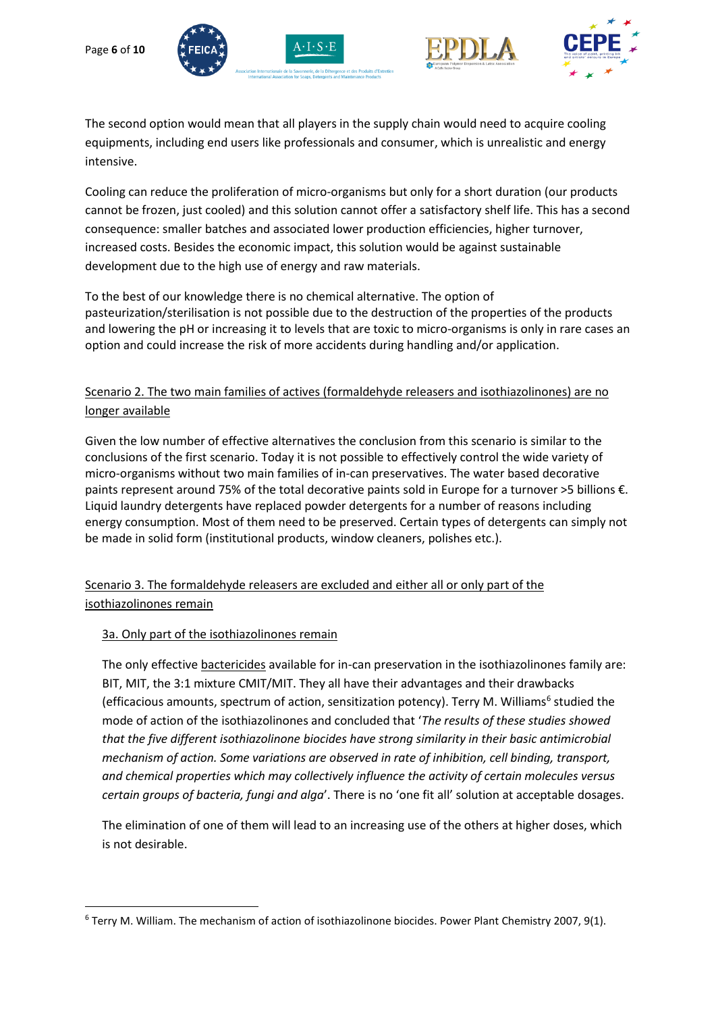







The second option would mean that all players in the supply chain would need to acquire cooling equipments, including end users like professionals and consumer, which is unrealistic and energy intensive.

Cooling can reduce the proliferation of micro-organisms but only for a short duration (our products cannot be frozen, just cooled) and this solution cannot offer a satisfactory shelf life. This has a second consequence: smaller batches and associated lower production efficiencies, higher turnover, increased costs. Besides the economic impact, this solution would be against sustainable development due to the high use of energy and raw materials.

To the best of our knowledge there is no chemical alternative. The option of pasteurization/sterilisation is not possible due to the destruction of the properties of the products and lowering the pH or increasing it to levels that are toxic to micro-organisms is only in rare cases an option and could increase the risk of more accidents during handling and/or application.

# Scenario 2. The two main families of actives (formaldehyde releasers and isothiazolinones) are no longer available

Given the low number of effective alternatives the conclusion from this scenario is similar to the conclusions of the first scenario. Today it is not possible to effectively control the wide variety of micro-organisms without two main families of in-can preservatives. The water based decorative paints represent around 75% of the total decorative paints sold in Europe for a turnover >5 billions €. Liquid laundry detergents have replaced powder detergents for a number of reasons including energy consumption. Most of them need to be preserved. Certain types of detergents can simply not be made in solid form (institutional products, window cleaners, polishes etc.).

# Scenario 3. The formaldehyde releasers are excluded and either all or only part of the isothiazolinones remain

## 3a. Only part of the isothiazolinones remain

**.** 

The only effective bactericides available for in-can preservation in the isothiazolinones family are: BIT, MIT, the 3:1 mixture CMIT/MIT. They all have their advantages and their drawbacks (efficacious amounts, spectrum of action, sensitization potency). Terry M. Williams<sup>6</sup> studied the mode of action of the isothiazolinones and concluded that '*The results of these studies showed that the five different isothiazolinone biocides have strong similarity in their basic antimicrobial mechanism of action. Some variations are observed in rate of inhibition, cell binding, transport, and chemical properties which may collectively influence the activity of certain molecules versus certain groups of bacteria, fungi and alga*'. There is no 'one fit all' solution at acceptable dosages.

The elimination of one of them will lead to an increasing use of the others at higher doses, which is not desirable.

<sup>6</sup> Terry M. William. The mechanism of action of isothiazolinone biocides. Power Plant Chemistry 2007, 9(1).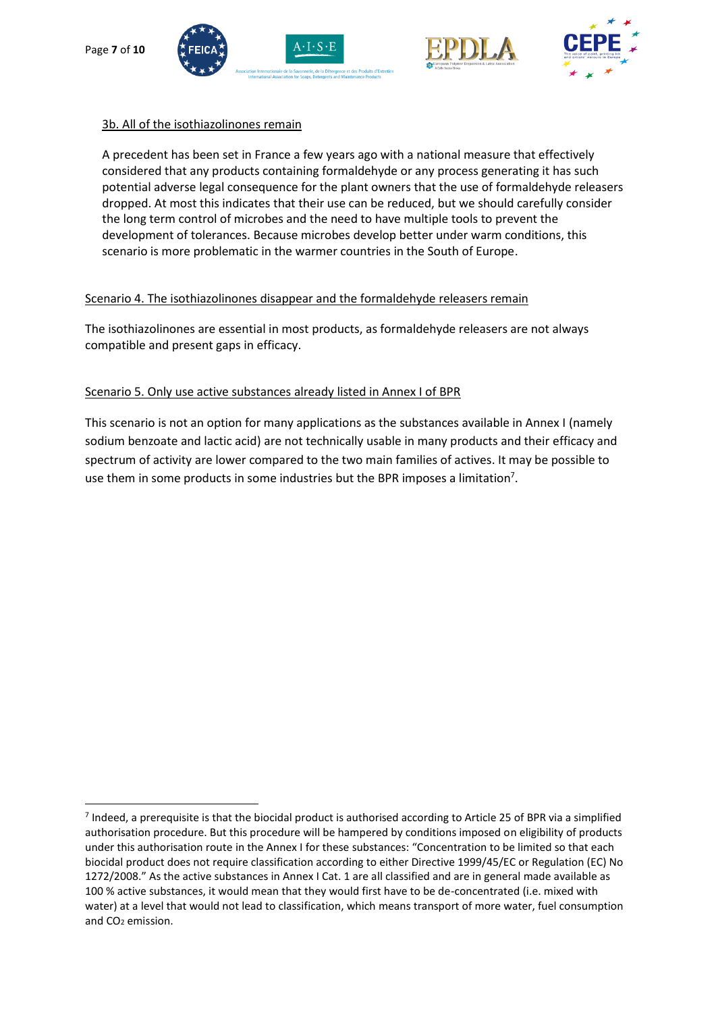**.** 









### 3b. All of the isothiazolinones remain

A precedent has been set in France a few years ago with a national measure that effectively considered that any products containing formaldehyde or any process generating it has such potential adverse legal consequence for the plant owners that the use of formaldehyde releasers dropped. At most this indicates that their use can be reduced, but we should carefully consider the long term control of microbes and the need to have multiple tools to prevent the development of tolerances. Because microbes develop better under warm conditions, this scenario is more problematic in the warmer countries in the South of Europe.

#### Scenario 4. The isothiazolinones disappear and the formaldehyde releasers remain

The isothiazolinones are essential in most products, as formaldehyde releasers are not always compatible and present gaps in efficacy.

## Scenario 5. Only use active substances already listed in Annex I of BPR

This scenario is not an option for many applications as the substances available in Annex I (namely sodium benzoate and lactic acid) are not technically usable in many products and their efficacy and spectrum of activity are lower compared to the two main families of actives. It may be possible to use them in some products in some industries but the BPR imposes a limitation<sup>7</sup>.

<sup>&</sup>lt;sup>7</sup> Indeed, a prerequisite is that the biocidal product is authorised according to Article 25 of BPR via a simplified authorisation procedure. But this procedure will be hampered by conditions imposed on eligibility of products under this authorisation route in the Annex I for these substances: "Concentration to be limited so that each biocidal product does not require classification according to either Directive 1999/45/EC or Regulation (EC) No 1272/2008." As the active substances in Annex I Cat. 1 are all classified and are in general made available as 100 % active substances, it would mean that they would first have to be de-concentrated (i.e. mixed with water) at a level that would not lead to classification, which means transport of more water, fuel consumption and CO<sup>2</sup> emission.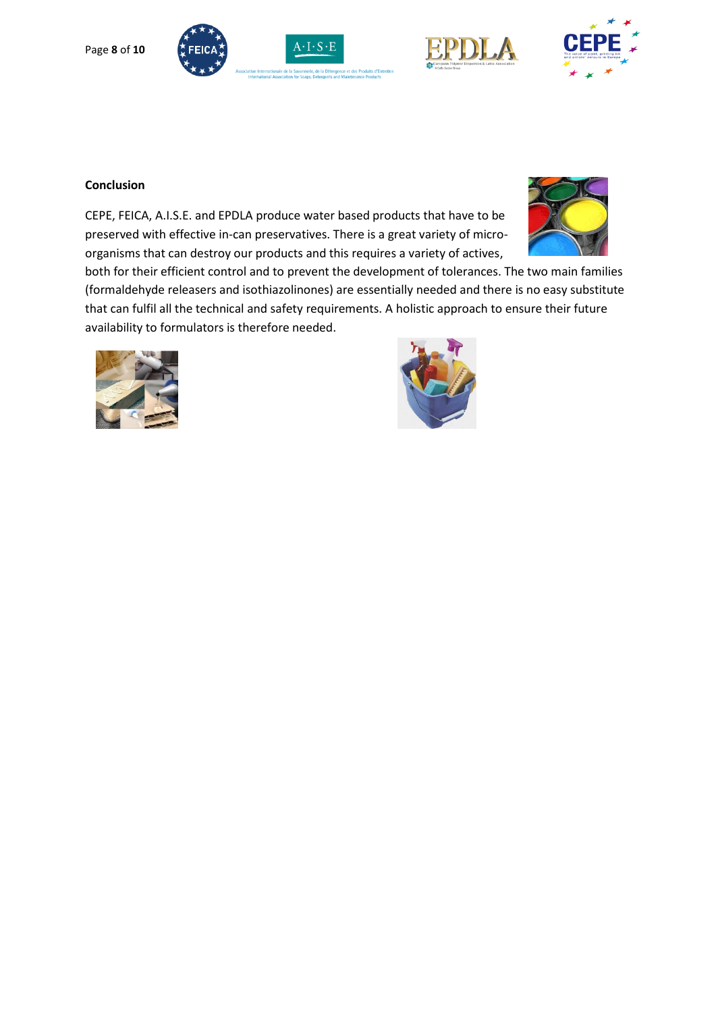









#### **Conclusion**

CEPE, FEICA, A.I.S.E. and EPDLA produce water based products that have to be preserved with effective in-can preservatives. There is a great variety of microorganisms that can destroy our products and this requires a variety of actives,



both for their efficient control and to prevent the development of tolerances. The two main families (formaldehyde releasers and isothiazolinones) are essentially needed and there is no easy substitute that can fulfil all the technical and safety requirements. A holistic approach to ensure their future availability to formulators is therefore needed.



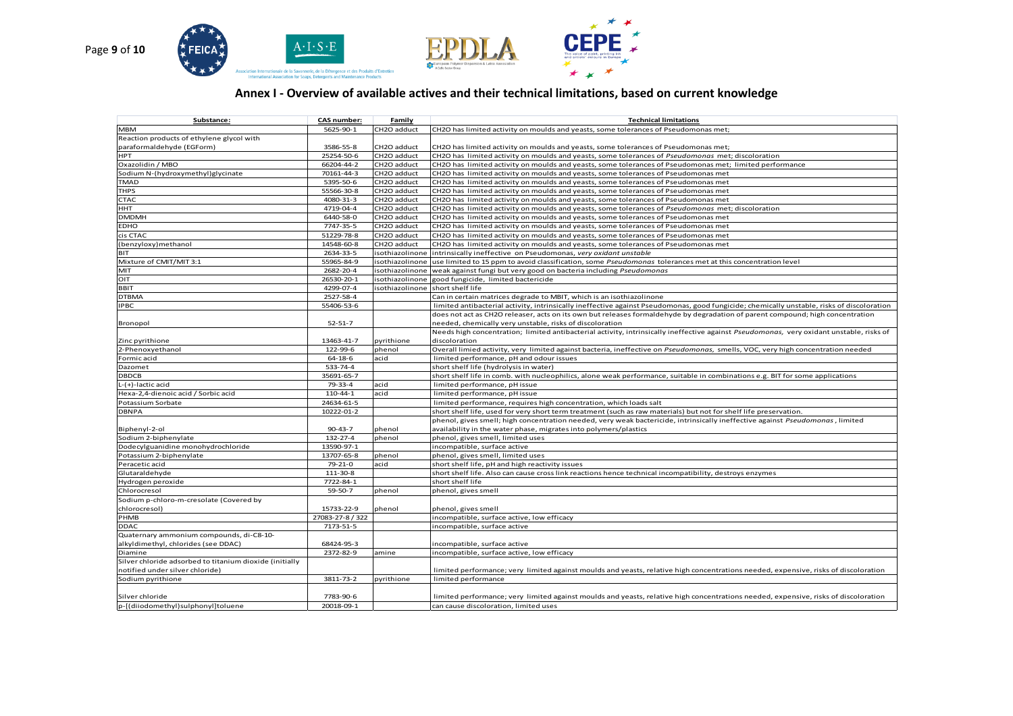

## **Annex I - Overview of available actives and their technical limitations, based on current knowledge**

| Substance:                                              | <b>CAS number:</b>     | Family          | <b>Technical limitations</b>                                                                                                                                   |
|---------------------------------------------------------|------------------------|-----------------|----------------------------------------------------------------------------------------------------------------------------------------------------------------|
| <b>MBM</b>                                              | 5625-90-1              | CH2O adduct     | CH2O has limited activity on moulds and yeasts, some tolerances of Pseudomonas met;                                                                            |
| Reaction products of ethylene glycol with               |                        |                 |                                                                                                                                                                |
| paraformaldehyde (EGForm)                               | 3586-55-8              | CH2O adduct     | CH2O has limited activity on moulds and yeasts, some tolerances of Pseudomonas met;                                                                            |
| HPT                                                     | 25254-50-6             | CH2O adduct     | CH2O has limited activity on moulds and yeasts, some tolerances of Pseudomonas met; discoloration                                                              |
| Oxazolidin / MBO                                        | 66204-44-2             | CH2O adduct     | CH2O has limited activity on moulds and yeasts, some tolerances of Pseudomonas met; limited performance                                                        |
| Sodium N-(hydroxymethyl)glycinate                       | 70161-44-3             | CH2O adduct     | CH2O has limited activity on moulds and yeasts, some tolerances of Pseudomonas met                                                                             |
| <b>TMAD</b>                                             | 5395-50-6              | CH2O adduct     | CH2O has limited activity on moulds and yeasts, some tolerances of Pseudomonas met                                                                             |
| <b>THPS</b>                                             | 55566-30-8             | CH2O adduct     | CH2O has limited activity on moulds and yeasts, some tolerances of Pseudomonas met                                                                             |
| <b>CTAC</b>                                             | 4080-31-3              | CH2O adduct     | CH2O has limited activity on moulds and yeasts, some tolerances of Pseudomonas met                                                                             |
| HHT                                                     | 4719-04-4              | CH2O adduct     | CH2O has limited activity on moulds and yeasts, some tolerances of Pseudomonas met; discoloration                                                              |
| <b>DMDMH</b>                                            | 6440-58-0              | CH2O adduct     | CH2O has limited activity on moulds and yeasts, some tolerances of Pseudomonas met                                                                             |
| <b>EDHO</b>                                             | 7747-35-5              | CH2O adduct     | CH2O has limited activity on moulds and yeasts, some tolerances of Pseudomonas met                                                                             |
| cis CTAC                                                | 51229-78-8             | CH2O adduct     | CH2O has limited activity on moulds and yeasts, some tolerances of Pseudomonas met                                                                             |
| (benzyloxy) methanol                                    | 14548-60-8             | CH2O adduct     | CH2O has limited activity on moulds and yeasts, some tolerances of Pseudomonas met                                                                             |
| <b>BIT</b>                                              | 2634-33-5              | isothiazolinone | intrinsically ineffective on Pseudomonas, very oxidant unstable                                                                                                |
| Mixture of CMIT/MIT 3:1                                 | 55965-84-9             | isothiazolinone | use limited to 15 ppm to avoid classification, some Pseudomonas tolerances met at this concentration level                                                     |
| MIT                                                     | 2682-20-4              | isothiazolinone | weak against fungi but very good on bacteria including Pseudomonas                                                                                             |
| OIT                                                     | 26530-20-1             | sothiazolinone  | good fungicide, limited bactericide                                                                                                                            |
| <b>BBIT</b>                                             | 4299-07-4              | isothiazolinone | short shelf life                                                                                                                                               |
| <b>DTBMA</b>                                            | 2527-58-4              |                 | Can in certain matrices degrade to MBIT, which is an isothiazolinone                                                                                           |
| <b>IPBC</b>                                             | 55406-53-6             |                 | limited antibacterial activity, intrinsically ineffective against Pseudomonas, good fungicide; chemically unstable, risks of discoloration                     |
|                                                         |                        |                 | does not act as CH2O releaser, acts on its own but releases formaldehyde by degradation of parent compound; high concentration                                 |
| Bronopol                                                | $52 - 51 - 7$          |                 | needed, chemically very unstable, risks of discoloration                                                                                                       |
|                                                         |                        |                 | Needs high concentration; limited antibacterial activity, intrinsically ineffective against Pseudomonas, very oxidant unstable, risks of                       |
| Zinc pyrithione                                         | 13463-41-7             | pyrithione      | discoloration                                                                                                                                                  |
| 2-Phenoxyethanol                                        | 122-99-6               | phenol          | Overall limied activity, very limited against bacteria, ineffective on Pseudomonas, smells, VOC, very high concentration needed                                |
| Formic acid                                             | $64 - 18 - 6$          | acid            | limited performance, pH and odour issues                                                                                                                       |
| Dazomet                                                 | 533-74-4               |                 | short shelf life (hydrolysis in water)                                                                                                                         |
| <b>DBDCB</b>                                            | 35691-65-7             |                 |                                                                                                                                                                |
| L-(+)-lactic acid                                       | 79-33-4                | acid            | short shelf life in comb. with nucleophilics, alone weak performance, suitable in combinations e.g. BIT for some applications<br>limited performance, pH issue |
|                                                         |                        |                 |                                                                                                                                                                |
| Hexa-2,4-dienoic acid / Sorbic acid                     | 110-44-1<br>24634-61-5 | acid            | limited performance, pH issue                                                                                                                                  |
| Potassium Sorbate                                       |                        |                 | limited performance, requires high concentration, which loads salt                                                                                             |
| <b>DBNPA</b>                                            | 10222-01-2             |                 | short shelf life, used for very short term treatment (such as raw materials) but not for shelf life preservation.                                              |
|                                                         |                        |                 | phenol, gives smell; high concentration needed, very weak bactericide, intrinsically ineffective against Pseudomonas, limited                                  |
| Biphenyl-2-ol                                           | $90 - 43 - 7$          | phenol          | availability in the water phase, migrates into polymers/plastics                                                                                               |
| Sodium 2-biphenylate                                    | 132-27-4               | phenol          | phenol, gives smell, limited uses                                                                                                                              |
| Dodecylguanidine monohydrochloride                      | 13590-97-1             |                 | incompatible, surface active                                                                                                                                   |
| Potassium 2-biphenylate                                 | 13707-65-8             | phenol          | phenol, gives smell, limited uses                                                                                                                              |
| Peracetic acid                                          | $79 - 21 - 0$          | acid            | short shelf life, pH and high reactivity issues                                                                                                                |
| Glutaraldehyde                                          | 111-30-8               |                 | short shelf life. Also can cause cross link reactions hence technical incompatibility, destroys enzymes                                                        |
| Hydrogen peroxide                                       | 7722-84-1              |                 | short shelf life                                                                                                                                               |
| Chlorocresol                                            | 59-50-7                | phenol          | phenol, gives smell                                                                                                                                            |
| Sodium p-chloro-m-cresolate (Covered by                 |                        |                 |                                                                                                                                                                |
| chlorocresol)                                           | 15733-22-9             | phenol          | phenol, gives smell                                                                                                                                            |
| PHMB                                                    | 27083-27-8 / 322       |                 | ncompatible, surface active, low efficacy                                                                                                                      |
| DDAC                                                    | 7173-51-5              |                 | ncompatible, surface active                                                                                                                                    |
| Quaternary ammonium compounds, di-C8-10-                |                        |                 |                                                                                                                                                                |
| alkyldimethyl, chlorides (see DDAC)                     | 68424-95-3             |                 | ncompatible, surface active                                                                                                                                    |
| Diamine                                                 | 2372-82-9              | amine           | incompatible, surface active, low efficacy                                                                                                                     |
| Silver chloride adsorbed to titanium dioxide (initially |                        |                 |                                                                                                                                                                |
| notified under silver chloride)                         |                        |                 | limited performance; very limited against moulds and yeasts, relative high concentrations needed, expensive, risks of discoloration                            |
| Sodium pyrithione                                       | 3811-73-2              | pyrithione      | limited performance                                                                                                                                            |
|                                                         |                        |                 |                                                                                                                                                                |
| Silver chloride                                         | 7783-90-6              |                 | limited performance; very limited against moulds and yeasts, relative high concentrations needed, expensive, risks of discoloration                            |
| p-[(diiodomethyl)sulphonyl]toluene                      | 20018-09-1             |                 | can cause discoloration, limited uses                                                                                                                          |